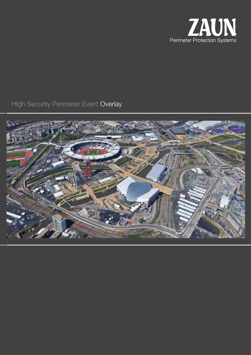

High Security Perimeter Event Overlay

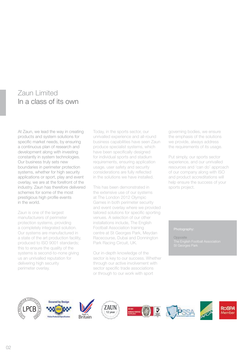# Zaun Limited In a class of its own

At Zaun, we lead the way in creating products and system solutions for specific market needs, by ensuring a continuous plan of research and development along with investing constantly in system technologies. Our business truly sets new boundaries in perimeter protection systems, whether for high security applications or sport, play and event overlay, we are at the forefront of the industry. Zaun has therefore delivered schemes for some of the most prestigious high profile events in the world.

Zaun is one of the largest manufacturers of perimeter protection systems, providing a completely integrated solution. Our systems are manufactured in a state of the art production facility, produced to ISO 9001 standards; this to ensure the quality of the systems is second-to-none giving us an unrivalled reputation for delivering high security perimeter overlay.

Today, in the sports sector, our unrivalled experience and all-round business capabilities have seen Zaun produce specialist systems, which have been specifically designed for individual sports and stadium requirements, ensuring application usage, user safety and security considerations are fully reflected in the solutions we have installed.

This has been demonstrated in the extensive use of our systems at The London 2012 Olympic Games in both perimeter security and event overlay where we provided tailored solutions for specific sporting venues. A selection of our other installations include, The English Football Association training centre at St Georges Park, Meydan Racecourse, Dubai and Donnington Park Racing Circuit, UK.

Our in-depth knowledge of the sector is key to our success. Whether through our active involvement with sector specific trade associations or through to our work with sport

governing bodies, we ensure the emphasis of the solutions we provide, always address the requirements of its usage.

Put simply, our sports sector experience, and our unrivalled resources and 'can do' approach of our company along with ISO and product accreditations will help ensure the success of your sports project.

Opposite

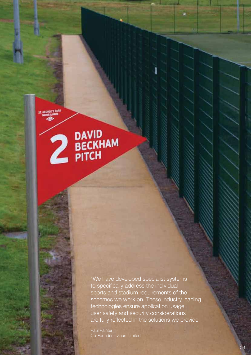**PAVID**<br>**PECKHAM** 

"We have developed specialist systems to specifically address the individual sports and stadium requirements of the schemes we work on. These industry leading technologies ensure application usage, user safety and security considerations are fully reflected in the solutions we provide"

Paul Painter Co-Founder – Zaun Limited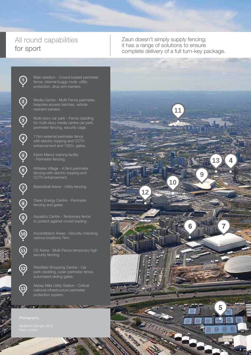# All round capabilities for sport

Zaun doesn't simply supply fencing; it has a range of solutions to ensure complete delivery of a full turn-key package.



Main stadium - Crowd loaded perimeter fence, internal buggy route, utility protection, drop arm barriers.

Media Centre - Multi-Fence perimeter, bespoke access hatches, vehicle restraint barriers.

Multi-story car park - Fence cladding for multi-story media centre car park, perimeter fencing, security cage.

17km external perimeter fence with electric topping and CCTV enhancement and 1000+ gates.

Eaton Manor training facility - Perimeter fencing.

Athletes Village - 4.5km perimeter fencing with electric topping and CCTV enhancement.

Basketball Arena - Utility fencing.

Clean Energy Centre - Perimeter fencing and gates.

Aquatics Centre - Temporary fence to protect against crowd loading.

Accreditation Areas - Security checking various locations 7km.

O2 Arena - Multi-Fence temporary high security fencing.

Westfield Shopping Centre - Car park cladding, outer perimeter fence, automated sliding gates.

Abbey Mills Utility Station - Critical national infrastructure perimeter protection system.

**12**

**8**

 $\bigcirc$ 

 $\bigcirc$ 

4

 $\bigodot$ 

 $\bigodot$ 

**9**

**10**

**11**

04



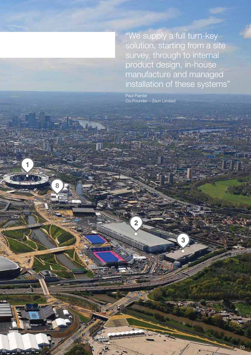"We supply a full turn-key solution, starting from a site survey, through to internal product design, in-house manufacture and managed installation of these systems"

Paul Painter Co-Founder – Zaun Limited

**8**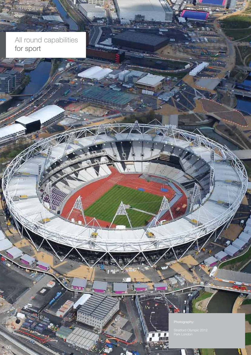$-06$ 

**EZANT** 

All round capabilities for sport

 $\mathbb{Z}$ 

TW

đĩ

ma is

Park London

霖

**M**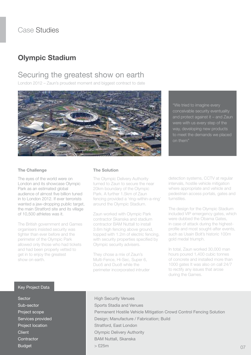# **Olympic Stadium**

### Securing the greatest show on earth

London 2012 – Zaun's proudest moment and biggest contract to date



"We tried to imagine every conceivable security eventuality and protect against it – and Zaun were with us every step of the way, developing new products to meet the demands we placed on them"

#### **The Challenge**

The eyes of the world were on London and its showcase Olympic Park as an estimated global audience of almost five billion tuned in to London 2012. If ever terrorists wanted a jaw-dropping public target, the main Stratford site and its village of 10,500 athletes was it.

The British government and Games organisers insisted security was tighter than ever before and the perimeter of the Olympic Park allowed only those who had tickets and had been properly vetted to get in to enjoy the greatest show on earth.

#### **The Solution**

The Olympic Delivery Authority turned to Zaun to secure the near 20km boundary of the Olympic Park. A further 1.5km of Zaun fencing provided a 'ring-within-a-ring' around the Olympic Stadium.

Zaun worked with Olympic Park contractor Skanska and stadium contractor BAM Nuttall to install 3.6m high fencing above ground, topped with 1.2m of electric fencing, with security properties specified by Olympic security advisers.

They chose a mix of Zaun's Multi-Fence, Hi-Sec, Super 6, Duo5 and Duo8 while the perimeter incorporated intruder detection systems, CCTV at regular intervals, hostile vehicle mitigation where appropriate and vehicle and pedestrian access portals, gates and turnstiles.

The design for the Olympic Stadium included VIP emergency gates, which were dubbed the Obama Gates, in case of attack during the highestprofile and most sought-after events, such as Usain Bolt's historic 100m gold medal triumph.

In total, Zaun worked 30,000 man hours poured 1,400 cubic tonnes of concrete and installed more than 1000 gates It was also on call 24/7 to rectify any issues that arose during the Games.

#### Key Project Data

**Sector** Sub-sector Project scope Services provided Project location **Client Contractor** Budget

High Security Venues Sports Stadia and Venues Permanent Hostile Vehicle Mitigation Crowd Control Fencing Solution Design; Manufacture / Fabrication; Build Stratford, East London Olympic Delivery Authority BAM Nuttall, Skanska > £25m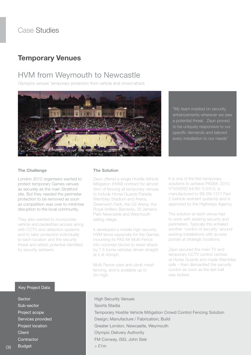### **Temporary Venues**

# HVM from Weymouth to Newcastle

Olympics venues' temporary protection from vehicle and crowd attack



"My team insisted on security enhancements wherever we saw a potential threat. Zaun proved to be uniquely responsive to our specific demands and tailored every installation to our needs"

#### **The Challenge**

London 2012 organisers wanted to protect temporary Games venues as securely as the main Stratford site. But they needed the perimeter protection to be removed as soon as competition was over to minimise disruption to the local community.

They also wanted to incorporate vehicle and pedestrian access along with CCTV and detection systems and to tailor protection individually to each location and the security threat and attack potential identified by security advisers.

#### **The Solution**

Zaun offered a single Hostile Vehicle Mitigation (HVM) contract for almost 5km of fencing all temporary venues to include Horse Guards Parade, Wembley Stadium and Arena, Greenwich Park, the O2 Arena, the Royal Artillery Barracks, St James's Park Newcastle and Weymouth sailing village.

It developed a mobile high-security HVM fence especially for the Games, mounting its PAS 68 Multi-Fence into concrete blocks to resist attack by 7.5 tonne vehicles driven straight at it at 40mph.

Multi-Fence uses anti-climb mesh fencing, and is available up to 5m high.

It is one of the first temporary solutions to achieve PAS68: 2010 V7500(N2) 64/90: 5.0/0.0, is manufactured to BS EN 1317 Part 2 (vehicle restraint systems) and is approved by the Highways Agency.

The solution at each venue had to work with existing security and perimeters. Typically this entailed another 'cordon of security' around existing installations with access portals at strategic locations.

Zaun secured the main TV and temporary CCTV control centres at Horse Guards and made Wembley safe – then dismantled the security cordon as soon as the last ball was kicked.

#### Key Project Data

**Sector** Sub-sector Project scope Services provided Project location **Client Contractor** Budget

#### High Security Venues Sports Stadia Temporary Hostile Vehicle Mitigation Crowd Control Fencing Solution Design; Manufacture / Fabrication; Build Greater London, Newcastle, Weymouth Olympic Delivery Authority FM Conway, ISG, John Sisk  $>$   $$1m$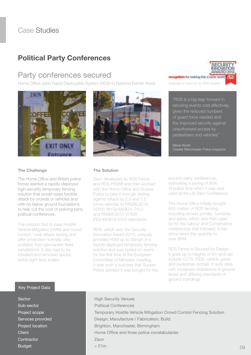# **Political Party Conferences**

### Party conferences secured

Home Office adds Rapid Deployable System (RDS) to National Barrier Asset





The Home Office and British police forces wanted a rapidly-deployed high-security temporary fencing solution that would resist forcible attack by crowds or vehicles and with no below ground foundations to help cut the cost of policing party political conferences.

The solution had to pass Hostile Vehicle Mitigation (HVM) and crowd control / mob attack testing and offer protection normally only available from permanent fixed installations. It also had to be installed and removed quickly within tight time scales.



#### **The Solution**

Zaun developed its RDS Fence and RDS PAS68 and then worked with the Home Office and Sussex Police to take it through testing against attack by 2.5 and 7.5 tonne vehicles to PAS68:2010 V2500 (N1G)/48/90:4.7/0.0 and PAS68:2010 V7500 (N2)/48/90:6.0/0.0 standards.

RDS, which won the Security Innovation Award 2013, uniquely provides HVM up to 30mph in a rapidly deployed temporary fencing solution and was tested on-event for the first time at the European Committee of Ministers meeting. It was such a success that Sussex Police advised it was bought for the

recognition for making this a safer world Awarded to Zaun for its RDS System

"RDS is a big leap forward in securing events cost effectively, given the reduced numbers of guard force needed and the improved security against unauthorised access by pedestrians and vehicles"

Steve Worth Greater Manchester Police Inspector

autumn party conferences, estimating a saving of 90% of police time when it was next used at the Lib Dem Conference.

The Home Office initially bought 600 metres of RDS fencing, including access portals, turnstiles and gates, which was then used by for the Labour and Conservative conferences that followed. It has since taken this quantity to over 6KM.

RDS Fence is Secured by Design. It goes up to heights of 3m and can include CCTV, PIDS, vehicle gates and pedestrian portals. It suits sites with moderate undulations in ground levels and differing standards of ground standings.

#### Key Project Data

**Sector** Sub-sector Project scope Services provided Project location **Client Contractor** Budget

High Security Venues Political Conferences Temporary Hostile Vehicle Mitigation Crowd Control Fencing Solution Design; Manufacture / Fabrication; Build Brighton, Manchester, Birmingham Home Office and three police constabularies Zaun  $<$   $f1m$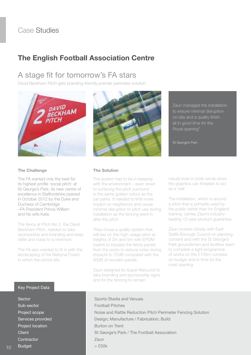## **The English Football Association Centre**

### A stage fit for tomorrow's FA stars

David Beckham Pitch gets branding-friendly premier perimeter solution



#### **The Challenge**

The FA wanted only the best for its highest profile 'social pitch' at St George's Park, its new centre of excellence in Staffordshire,opened in October 2012 by the Duke and Duchess of Cambridge –FA President Prince William and his wife Kate.

The fence at Pitch No 2, the David Beckham Pitch, needed to take sponsorship and branding and keep rattle and noise to a minimum.

The FA also wanted to fit in with the landscaping of the National Forest in which the centre sits.



**The Solution**

The system had to be in keeping with the environment – even down to surfacing the pitch surround in the same golden colour as the car parks. It needed to limit noise impact on neighbours and cause minimal disruption to pitch use during installation as the fencing went in after the pitch.

They chose a quality system that will last on this high-usage pitch at heights of 2m and 5m with EPDM inserts to insulate the fence panels from the posts to reduce noise during impacts to 72dB compared with the 93dB of wooden panels.

Zaun designed its Super Rebound to take branding and sponsorship signs and for the fencing to remain

Zaun managed the installation to ensure minimal disruption on-site and a quality finish all in good time for the Royal opening"

St George's Park

robust even in brisk winds when the graphics can threaten to act as a 'sail'.

The installation, which is around a pitch that is primarily used by the public rather than for England training, carries Zaun's industryleading 12-year product guarantee.

Zaun worked closely with East Staffs Borough Council on planning consent and with the St George's Park groundsmen and facilities team to complete a tight programme of works on the £105m complex on budget and in time for the royal opening.

#### Key Project Data

**Sector** Sub-sector Project scope Services provided Project location **Client Contractor** Budget

Sports Stadia and Venues Football Pitches Noise and Rattle Reduction Pitch Perimeter Fencing Solution Design; Manufacture / Fabrication; Build Burton on Trent St George's Park / The Football Association Zaun  $>$   $50k$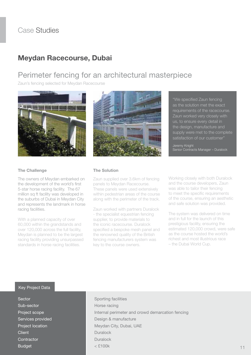### **Meydan Racecourse, Dubai**

# Perimeter fencing for an architectural masterpiece

Zaun's fencing selected for Meydan Racecourse





"We specified Zaun fencing as the solution met the exact requirements of the racecourse. Zaun worked very closely with us, to ensure every detail in the design, manufacture and supply were met to the complete satisfaction of our customer"

Jeremy Knight Senior Contracts Manager – Duralock

#### **The Challenge**

The owners of Meydan embarked on the development of the world's first 5-star horse racing facility. The 67 million sq ft facility was developed in the suburbs of Dubai in Meydan City and represents the landmark in horse racing facilities.

With a planned capacity of over 60,000 within the grandstands and over 120,000 across the full facility, Meydan is planned to be the largest racing facility providing unsurpassed standards in horse racing facilities.

#### **The Solution**

Zaun supplied over 3.6km of fencing panels to Meydan Racecourse. These panels were used extensively within pedestrian areas of the course along with the perimeter of the track.

Zaun worked with partners Duralock - the specialist equestrian fencing supplier, to provide materials to the iconic racecourse. Duralock specified a bespoke mesh panel and the renowned quality of the British fencing manufacturers system was key to the course owners.

Working closely with both Duralock and the course developers, Zaun was able to tailor their fencing to meet the specific requirements of the course, ensuring an aesthetic and safe solution was provided.

The system was delivered on time and in full for the launch of this prestigious facility, ensuring the estimated 120,000 crowd, were safe as the course hosted the world's richest and most illustrious race – the Dubai World Cup.

#### Key Project Data

**Sector** Sub-sector Project scope Services provided Project location **Client Contractor** Budget

Sporting facilities Horse racing Internal perimeter and crowd demarcation fencing Design & manufacture Meydan City, Dubai, UAE Duralock Duralock  $<$   $$100k$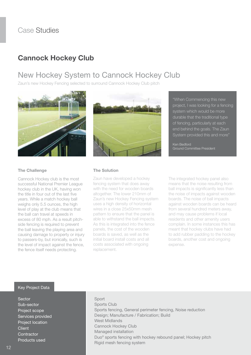# **Cannock Hockey Club**

# New Hockey System to Cannock Hockey Club

Zaun's new Hockey Fencing selected to surround Cannock Hockey Club pitch





"When Commencing this new project, I was looking for a fencing system which would be more durable that the traditional type of fencing, particularly at each end behind the goals. The Zaun System provided this and more"

Ken Bedford Ground Committee President

#### **The Challenge**

Cannock Hockey club is the most successful National Premier League hockey club in the UK, having won the title in four out of the last five years. While a match hockey ball weighs only 5.5 ounces, the high level of play at the club means that the ball can travel at speeds in excess of 80 mph. As a result pitchside fencing is required to prevent the ball leaving the playing area and causing damage to property or injury to passers-by, but ironically, such is the level of impact against the fence, the fence itself needs protecting.

#### **The Solution**

Zaun have developed a hockey fencing system that does away with the need for wooden boards altogether. The lower 210mm of Zaun's new Hockey Fencing system uses a high density of horizontal wires in a close 25x50mm mesh pattern to ensure that the panel is able to withstand the ball impacts. As this is integrated into the fence panels, the cost of the wooden boards is saved, as well as the initial board install costs and all costs associated with ongoing replacement.

The integrated hockey panel also means that the noise resulting from ball impacts is significantly less than the noise of impacts against wooden boards. The noise of ball impacts against wooden boards can be heard from several hundred meters away, and may cause problems if local residents and other amenity users complain. In some instances this has meant that hockey clubs have had to add rubber padding to the hockey boards, another cost and ongoing expense.

#### Key Project Data

**Sector** Sub-sector Project scope Services provided Project location **Client Contractor** Products used

#### Sport

Sports Club Sports fencing, General perimeter fencing, Noise reduction Design; Manufacture / Fabrication; Build West Midlands Cannock Hockey Club Managed installation Duo® sports fencing with hockey rebound panel; Hockey pitch Rigid mesh fencing system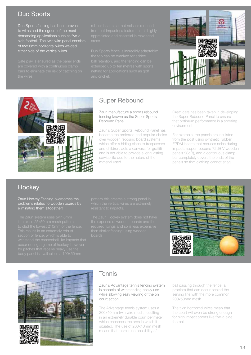### Duo Sports

Duo Sports fencing has been proven to withstand the rigours of the most demanding applications such as five-aside football. The twin wire panel consists of two 8mm horizontal wires welded either side of the vertical wires.





### Super Rebound

Zaun manufacture a sports rebound fencing known as the Super Sports Rebound Panel.

Zaun's Super Sports Rebound Panel has become the preferred and popular choice over wooden rebound board systems which offer a hiding place to trespassers and children, acts a canvass for graffiti and is not able to provide a long lasting service life due to the nature of the material used.

Great care has been taken in developing the Super Rebound Panel to ensure that optimum performance in a sporting environment.

For example, the panels are insulated from the post using synthetic rubber EPDM inserts that reduces noise during impacts (super rebound 72dB V wooden panels 93dB), and a continuous clampbar completely covers the ends of the panels so that clothing cannot snag.

### **Hockey**

Zaun Hockey Fencing overcomes the problems related to wooden boards by eliminating them altogether!





### **Tennis**

Zaun's Advantage tennis fencing system is capable of withstanding heavy use while allowing easy viewing of the on court action.

The Advantage tennis system uses a 200x40mm twin wire mesh, resulting in an extremely durable court perimeter, which enhances the area in which it situated. The use of 200x40mm mesh means that there is no possibility of a

ball passing through the fence, a problem that can occur behind the serving line with the more common 200x50mm mesh.

The twin horizontal wires mean that the court will even be strong enough for high impact sports like five-a-side football.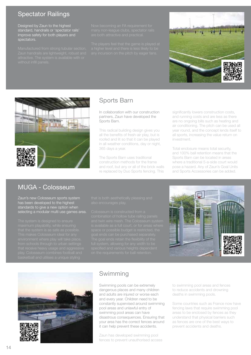#### Spectator Railings

Designed by Zaun to the highest standard, handrails or 'spectator rails' improve safety for both players and spectators.





### Sports Barn

In collaboration with our construction partners, Zaun have developed the Sports Barn.

This radical building design gives you all the benefits of fresh-air play, but is roofed and lit so that it can be played in all weather conditions, day or night, 365 days a year.

The Sports Barn uses traditional construction methods for the frame and roof, but any or all of the brick walls re replaced by Duo Sports fencing. This

significantly lowers construction costs, and running costs and are less as there are no ongoing bills such as heating and air conditioning. The pitch can be used all year round, and the concept lends itself to all sports, increasing the value return on investment.

Total enclosure means total security, and 100% ball retention means that the Sports Barn can be located in areas where a traditional 5-a-side court would pose a hazard. Any of Zaun's Goal Units and Sports Accessories can be added.

#### MUGA - Colosseum

Zaun's new Colosseum sports system has been developed to the highest standards to give a new option when selecting a modular multi use games area.





## Swimming

Swimming pools can be extremely dangerous places and many children and adults are injured or worse each and every year. Children need to be constantly supervised around swimming pool areas and unlawful entry of swimming pool areas can have disastrous consequences. Ensuring that your area has the correct fences around it can help prevent these accidents.

Zaun has developed swimming pool fences to prevent unauthorised access to swimming pool areas and fences to reduce accidents and drowning deaths in swimming pools.

Some countries such as France now have fencing laws that require swimming pool areas to be enclosed by fences as they understand that physical barriers such as fences are one of the best ways to prevent accidents and deaths.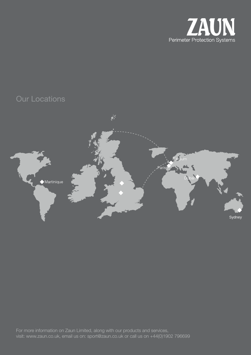

# Our Locations